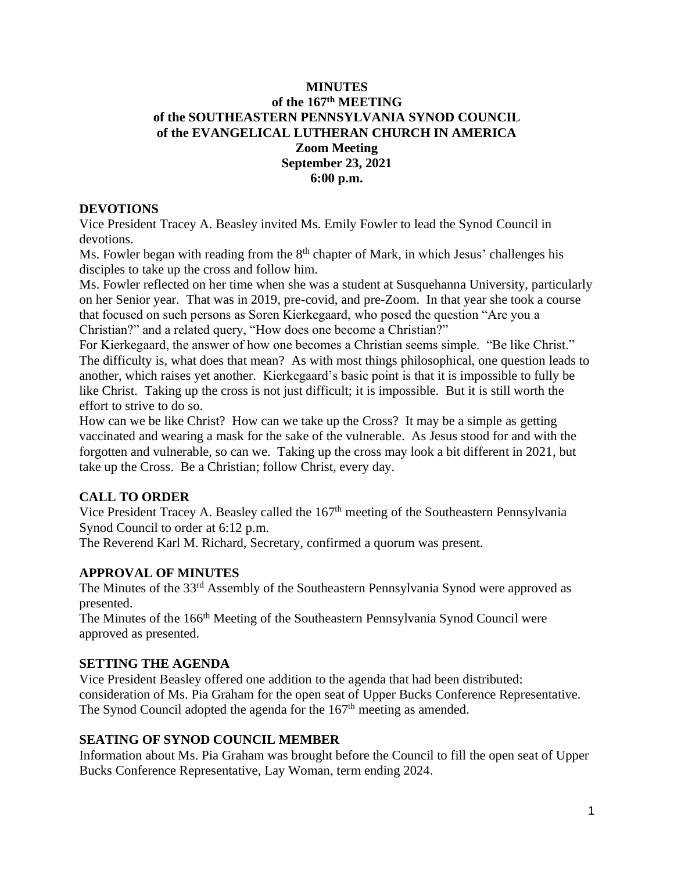## **MINUTES of the 167 th MEETING of the SOUTHEASTERN PENNSYLVANIA SYNOD COUNCIL of the EVANGELICAL LUTHERAN CHURCH IN AMERICA Zoom Meeting September 23, 2021 6:00 p.m.**

### **DEVOTIONS**

Vice President Tracey A. Beasley invited Ms. Emily Fowler to lead the Synod Council in devotions.

Ms. Fowler began with reading from the  $8<sup>th</sup>$  chapter of Mark, in which Jesus' challenges his disciples to take up the cross and follow him.

Ms. Fowler reflected on her time when she was a student at Susquehanna University, particularly on her Senior year. That was in 2019, pre-covid, and pre-Zoom. In that year she took a course that focused on such persons as Soren Kierkegaard, who posed the question "Are you a Christian?" and a related query, "How does one become a Christian?"

For Kierkegaard, the answer of how one becomes a Christian seems simple. "Be like Christ." The difficulty is, what does that mean? As with most things philosophical, one question leads to another, which raises yet another. Kierkegaard's basic point is that it is impossible to fully be like Christ. Taking up the cross is not just difficult; it is impossible. But it is still worth the effort to strive to do so.

How can we be like Christ? How can we take up the Cross? It may be a simple as getting vaccinated and wearing a mask for the sake of the vulnerable. As Jesus stood for and with the forgotten and vulnerable, so can we. Taking up the cross may look a bit different in 2021, but take up the Cross. Be a Christian; follow Christ, every day.

## **CALL TO ORDER**

Vice President Tracey A. Beasley called the 167<sup>th</sup> meeting of the Southeastern Pennsylvania Synod Council to order at 6:12 p.m.

The Reverend Karl M. Richard, Secretary, confirmed a quorum was present.

### **APPROVAL OF MINUTES**

The Minutes of the 33rd Assembly of the Southeastern Pennsylvania Synod were approved as presented.

The Minutes of the 166<sup>th</sup> Meeting of the Southeastern Pennsylvania Synod Council were approved as presented.

### **SETTING THE AGENDA**

Vice President Beasley offered one addition to the agenda that had been distributed: consideration of Ms. Pia Graham for the open seat of Upper Bucks Conference Representative. The Synod Council adopted the agenda for the 167<sup>th</sup> meeting as amended.

### **SEATING OF SYNOD COUNCIL MEMBER**

Information about Ms. Pia Graham was brought before the Council to fill the open seat of Upper Bucks Conference Representative, Lay Woman, term ending 2024.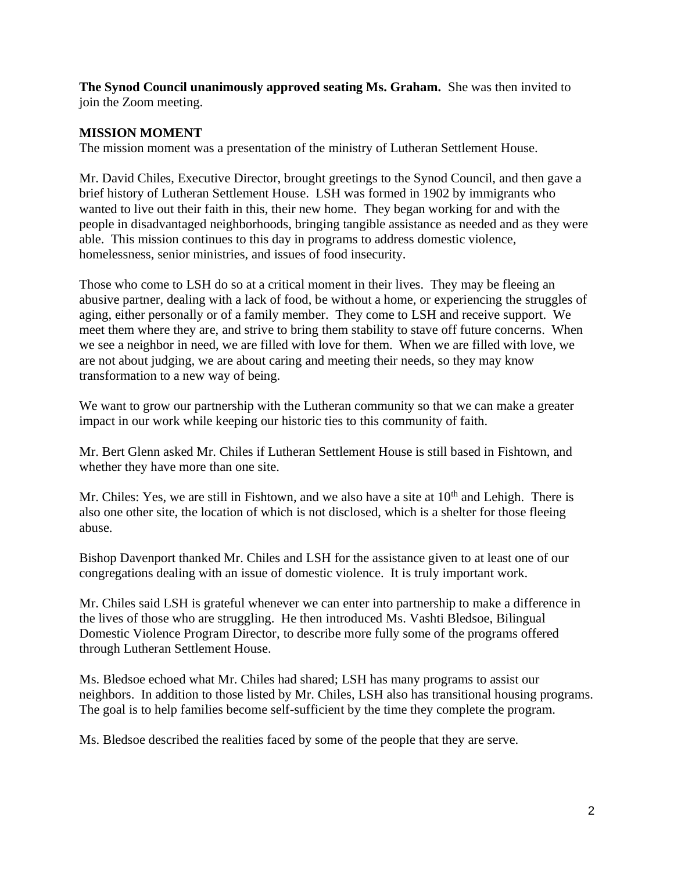**The Synod Council unanimously approved seating Ms. Graham.** She was then invited to join the Zoom meeting.

### **MISSION MOMENT**

The mission moment was a presentation of the ministry of Lutheran Settlement House.

Mr. David Chiles, Executive Director, brought greetings to the Synod Council, and then gave a brief history of Lutheran Settlement House. LSH was formed in 1902 by immigrants who wanted to live out their faith in this, their new home. They began working for and with the people in disadvantaged neighborhoods, bringing tangible assistance as needed and as they were able. This mission continues to this day in programs to address domestic violence, homelessness, senior ministries, and issues of food insecurity.

Those who come to LSH do so at a critical moment in their lives. They may be fleeing an abusive partner, dealing with a lack of food, be without a home, or experiencing the struggles of aging, either personally or of a family member. They come to LSH and receive support. We meet them where they are, and strive to bring them stability to stave off future concerns. When we see a neighbor in need, we are filled with love for them. When we are filled with love, we are not about judging, we are about caring and meeting their needs, so they may know transformation to a new way of being.

We want to grow our partnership with the Lutheran community so that we can make a greater impact in our work while keeping our historic ties to this community of faith.

Mr. Bert Glenn asked Mr. Chiles if Lutheran Settlement House is still based in Fishtown, and whether they have more than one site.

Mr. Chiles: Yes, we are still in Fishtown, and we also have a site at  $10<sup>th</sup>$  and Lehigh. There is also one other site, the location of which is not disclosed, which is a shelter for those fleeing abuse.

Bishop Davenport thanked Mr. Chiles and LSH for the assistance given to at least one of our congregations dealing with an issue of domestic violence. It is truly important work.

Mr. Chiles said LSH is grateful whenever we can enter into partnership to make a difference in the lives of those who are struggling. He then introduced Ms. Vashti Bledsoe, Bilingual Domestic Violence Program Director, to describe more fully some of the programs offered through Lutheran Settlement House.

Ms. Bledsoe echoed what Mr. Chiles had shared; LSH has many programs to assist our neighbors. In addition to those listed by Mr. Chiles, LSH also has transitional housing programs. The goal is to help families become self-sufficient by the time they complete the program.

Ms. Bledsoe described the realities faced by some of the people that they are serve.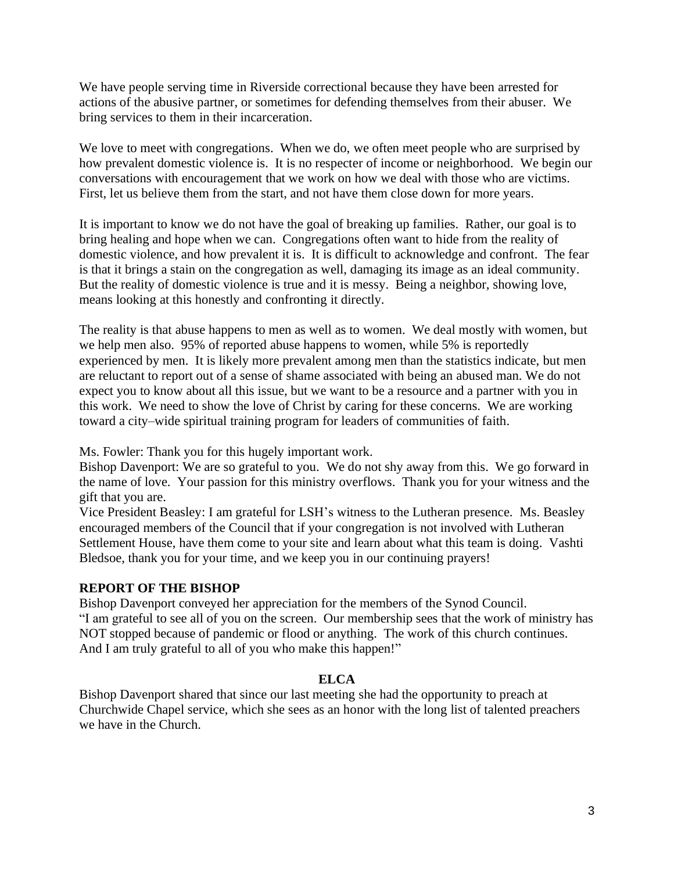We have people serving time in Riverside correctional because they have been arrested for actions of the abusive partner, or sometimes for defending themselves from their abuser. We bring services to them in their incarceration.

We love to meet with congregations. When we do, we often meet people who are surprised by how prevalent domestic violence is. It is no respecter of income or neighborhood. We begin our conversations with encouragement that we work on how we deal with those who are victims. First, let us believe them from the start, and not have them close down for more years.

It is important to know we do not have the goal of breaking up families. Rather, our goal is to bring healing and hope when we can. Congregations often want to hide from the reality of domestic violence, and how prevalent it is. It is difficult to acknowledge and confront. The fear is that it brings a stain on the congregation as well, damaging its image as an ideal community. But the reality of domestic violence is true and it is messy. Being a neighbor, showing love, means looking at this honestly and confronting it directly.

The reality is that abuse happens to men as well as to women. We deal mostly with women, but we help men also. 95% of reported abuse happens to women, while 5% is reportedly experienced by men. It is likely more prevalent among men than the statistics indicate, but men are reluctant to report out of a sense of shame associated with being an abused man. We do not expect you to know about all this issue, but we want to be a resource and a partner with you in this work. We need to show the love of Christ by caring for these concerns. We are working toward a city–wide spiritual training program for leaders of communities of faith.

Ms. Fowler: Thank you for this hugely important work.

Bishop Davenport: We are so grateful to you. We do not shy away from this. We go forward in the name of love. Your passion for this ministry overflows. Thank you for your witness and the gift that you are.

Vice President Beasley: I am grateful for LSH's witness to the Lutheran presence. Ms. Beasley encouraged members of the Council that if your congregation is not involved with Lutheran Settlement House, have them come to your site and learn about what this team is doing. Vashti Bledsoe, thank you for your time, and we keep you in our continuing prayers!

## **REPORT OF THE BISHOP**

Bishop Davenport conveyed her appreciation for the members of the Synod Council. "I am grateful to see all of you on the screen. Our membership sees that the work of ministry has NOT stopped because of pandemic or flood or anything. The work of this church continues. And I am truly grateful to all of you who make this happen!"

### **ELCA**

Bishop Davenport shared that since our last meeting she had the opportunity to preach at Churchwide Chapel service, which she sees as an honor with the long list of talented preachers we have in the Church.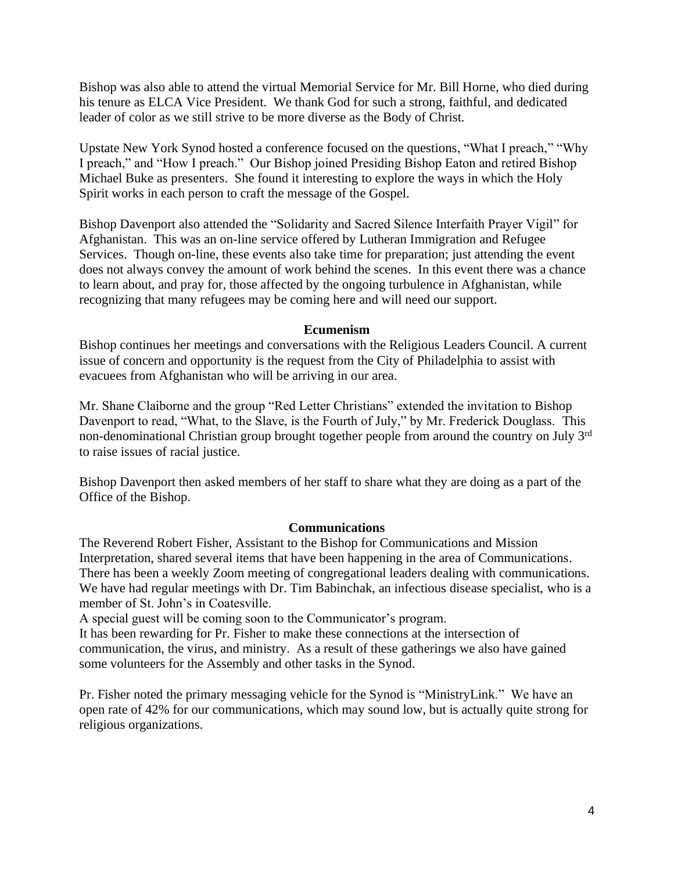Bishop was also able to attend the virtual Memorial Service for Mr. Bill Horne, who died during his tenure as ELCA Vice President. We thank God for such a strong, faithful, and dedicated leader of color as we still strive to be more diverse as the Body of Christ.

Upstate New York Synod hosted a conference focused on the questions, "What I preach," "Why I preach," and "How I preach." Our Bishop joined Presiding Bishop Eaton and retired Bishop Michael Buke as presenters. She found it interesting to explore the ways in which the Holy Spirit works in each person to craft the message of the Gospel.

Bishop Davenport also attended the "Solidarity and Sacred Silence Interfaith Prayer Vigil" for Afghanistan. This was an on-line service offered by Lutheran Immigration and Refugee Services. Though on-line, these events also take time for preparation; just attending the event does not always convey the amount of work behind the scenes. In this event there was a chance to learn about, and pray for, those affected by the ongoing turbulence in Afghanistan, while recognizing that many refugees may be coming here and will need our support.

### **Ecumenism**

Bishop continues her meetings and conversations with the Religious Leaders Council. A current issue of concern and opportunity is the request from the City of Philadelphia to assist with evacuees from Afghanistan who will be arriving in our area.

Mr. Shane Claiborne and the group "Red Letter Christians" extended the invitation to Bishop Davenport to read, "What, to the Slave, is the Fourth of July," by Mr. Frederick Douglass. This non-denominational Christian group brought together people from around the country on July 3rd to raise issues of racial justice.

Bishop Davenport then asked members of her staff to share what they are doing as a part of the Office of the Bishop.

### **Communications**

The Reverend Robert Fisher, Assistant to the Bishop for Communications and Mission Interpretation, shared several items that have been happening in the area of Communications. There has been a weekly Zoom meeting of congregational leaders dealing with communications. We have had regular meetings with Dr. Tim Babinchak, an infectious disease specialist, who is a member of St. John's in Coatesville.

A special guest will be coming soon to the Communicator's program.

It has been rewarding for Pr. Fisher to make these connections at the intersection of communication, the virus, and ministry. As a result of these gatherings we also have gained some volunteers for the Assembly and other tasks in the Synod.

Pr. Fisher noted the primary messaging vehicle for the Synod is "MinistryLink." We have an open rate of 42% for our communications, which may sound low, but is actually quite strong for religious organizations.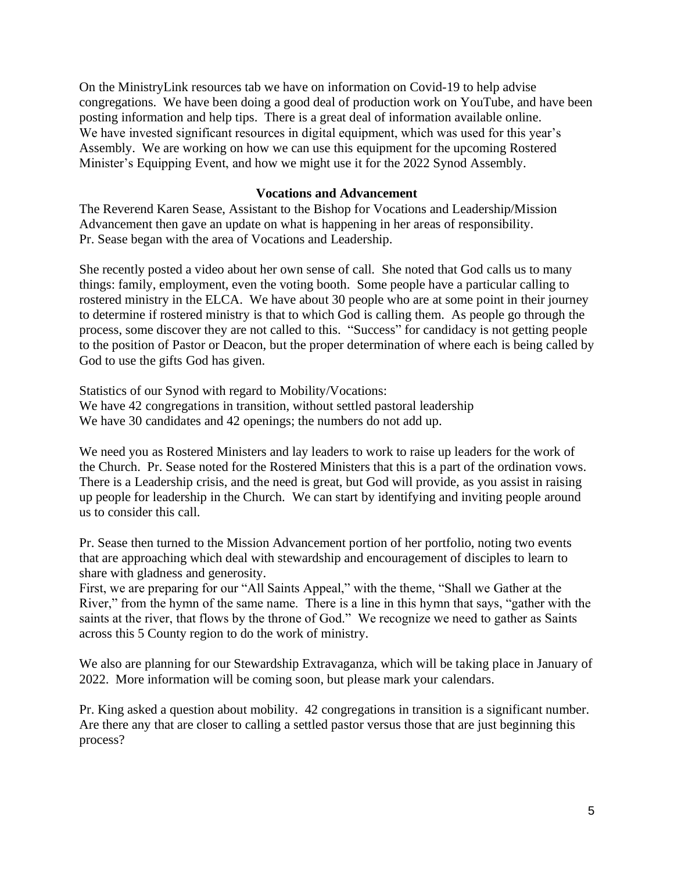On the MinistryLink resources tab we have on information on Covid-19 to help advise congregations. We have been doing a good deal of production work on YouTube, and have been posting information and help tips. There is a great deal of information available online. We have invested significant resources in digital equipment, which was used for this year's Assembly. We are working on how we can use this equipment for the upcoming Rostered Minister's Equipping Event, and how we might use it for the 2022 Synod Assembly.

### **Vocations and Advancement**

The Reverend Karen Sease, Assistant to the Bishop for Vocations and Leadership/Mission Advancement then gave an update on what is happening in her areas of responsibility. Pr. Sease began with the area of Vocations and Leadership.

She recently posted a video about her own sense of call. She noted that God calls us to many things: family, employment, even the voting booth. Some people have a particular calling to rostered ministry in the ELCA. We have about 30 people who are at some point in their journey to determine if rostered ministry is that to which God is calling them. As people go through the process, some discover they are not called to this. "Success" for candidacy is not getting people to the position of Pastor or Deacon, but the proper determination of where each is being called by God to use the gifts God has given.

Statistics of our Synod with regard to Mobility/Vocations: We have 42 congregations in transition, without settled pastoral leadership We have 30 candidates and 42 openings; the numbers do not add up.

We need you as Rostered Ministers and lay leaders to work to raise up leaders for the work of the Church. Pr. Sease noted for the Rostered Ministers that this is a part of the ordination vows. There is a Leadership crisis, and the need is great, but God will provide, as you assist in raising up people for leadership in the Church. We can start by identifying and inviting people around us to consider this call.

Pr. Sease then turned to the Mission Advancement portion of her portfolio, noting two events that are approaching which deal with stewardship and encouragement of disciples to learn to share with gladness and generosity.

First, we are preparing for our "All Saints Appeal," with the theme, "Shall we Gather at the River," from the hymn of the same name. There is a line in this hymn that says, "gather with the saints at the river, that flows by the throne of God." We recognize we need to gather as Saints across this 5 County region to do the work of ministry.

We also are planning for our Stewardship Extravaganza, which will be taking place in January of 2022. More information will be coming soon, but please mark your calendars.

Pr. King asked a question about mobility. 42 congregations in transition is a significant number. Are there any that are closer to calling a settled pastor versus those that are just beginning this process?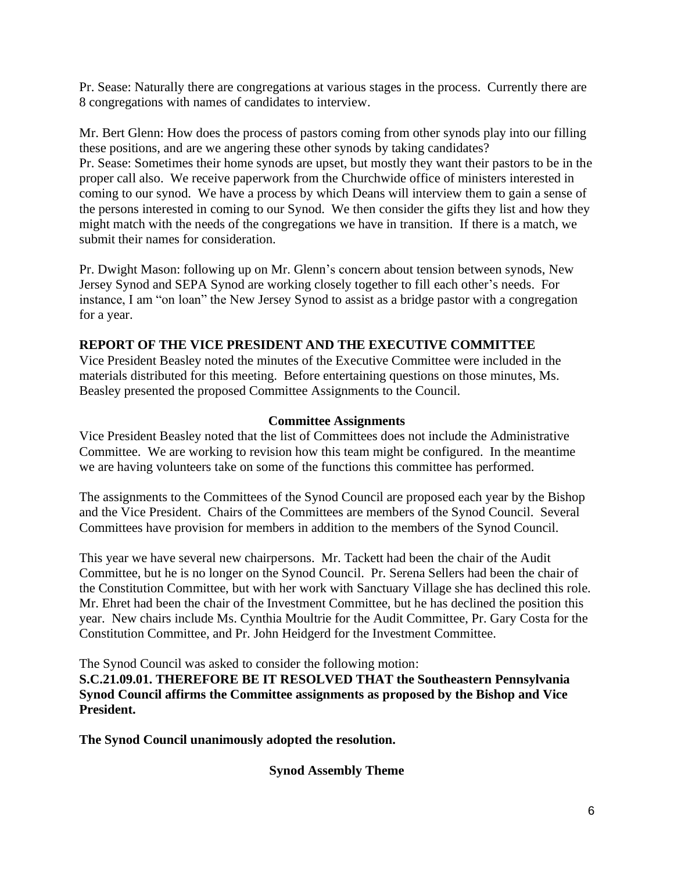Pr. Sease: Naturally there are congregations at various stages in the process. Currently there are 8 congregations with names of candidates to interview.

Mr. Bert Glenn: How does the process of pastors coming from other synods play into our filling these positions, and are we angering these other synods by taking candidates? Pr. Sease: Sometimes their home synods are upset, but mostly they want their pastors to be in the proper call also. We receive paperwork from the Churchwide office of ministers interested in coming to our synod. We have a process by which Deans will interview them to gain a sense of the persons interested in coming to our Synod. We then consider the gifts they list and how they might match with the needs of the congregations we have in transition. If there is a match, we submit their names for consideration.

Pr. Dwight Mason: following up on Mr. Glenn's concern about tension between synods, New Jersey Synod and SEPA Synod are working closely together to fill each other's needs. For instance, I am "on loan" the New Jersey Synod to assist as a bridge pastor with a congregation for a year.

### **REPORT OF THE VICE PRESIDENT AND THE EXECUTIVE COMMITTEE**

Vice President Beasley noted the minutes of the Executive Committee were included in the materials distributed for this meeting. Before entertaining questions on those minutes, Ms. Beasley presented the proposed Committee Assignments to the Council.

### **Committee Assignments**

Vice President Beasley noted that the list of Committees does not include the Administrative Committee. We are working to revision how this team might be configured. In the meantime we are having volunteers take on some of the functions this committee has performed.

The assignments to the Committees of the Synod Council are proposed each year by the Bishop and the Vice President. Chairs of the Committees are members of the Synod Council. Several Committees have provision for members in addition to the members of the Synod Council.

This year we have several new chairpersons. Mr. Tackett had been the chair of the Audit Committee, but he is no longer on the Synod Council. Pr. Serena Sellers had been the chair of the Constitution Committee, but with her work with Sanctuary Village she has declined this role. Mr. Ehret had been the chair of the Investment Committee, but he has declined the position this year. New chairs include Ms. Cynthia Moultrie for the Audit Committee, Pr. Gary Costa for the Constitution Committee, and Pr. John Heidgerd for the Investment Committee.

The Synod Council was asked to consider the following motion:

**S.C.21.09.01. THEREFORE BE IT RESOLVED THAT the Southeastern Pennsylvania Synod Council affirms the Committee assignments as proposed by the Bishop and Vice President.** 

**The Synod Council unanimously adopted the resolution.**

**Synod Assembly Theme**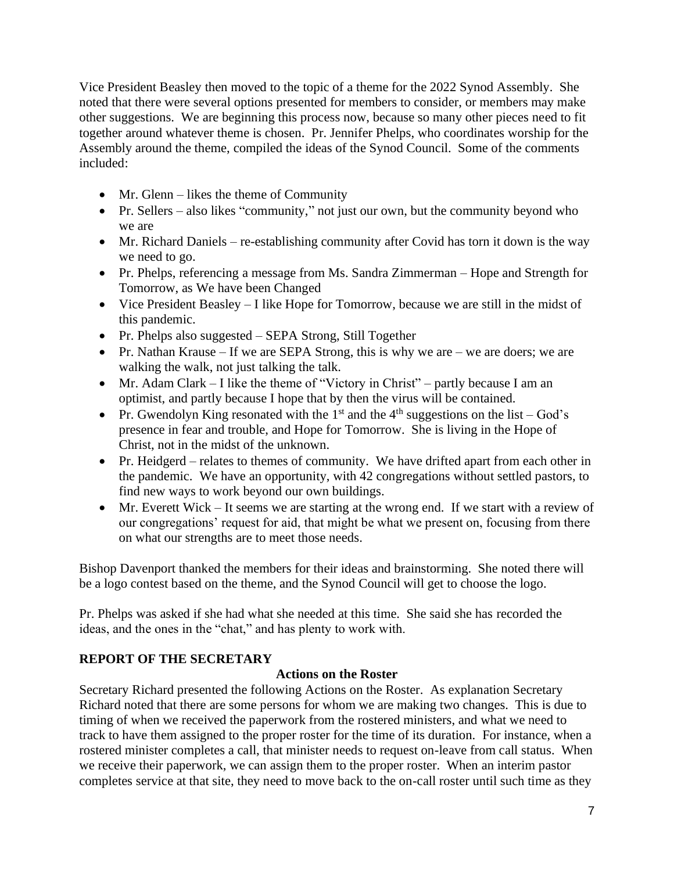Vice President Beasley then moved to the topic of a theme for the 2022 Synod Assembly. She noted that there were several options presented for members to consider, or members may make other suggestions. We are beginning this process now, because so many other pieces need to fit together around whatever theme is chosen. Pr. Jennifer Phelps, who coordinates worship for the Assembly around the theme, compiled the ideas of the Synod Council. Some of the comments included:

- Mr. Glenn likes the theme of Community
- Pr. Sellers also likes "community," not just our own, but the community beyond who we are
- Mr. Richard Daniels re-establishing community after Covid has torn it down is the way we need to go.
- Pr. Phelps, referencing a message from Ms. Sandra Zimmerman Hope and Strength for Tomorrow, as We have been Changed
- Vice President Beasley I like Hope for Tomorrow, because we are still in the midst of this pandemic.
- Pr. Phelps also suggested SEPA Strong, Still Together
- Pr. Nathan Krause If we are SEPA Strong, this is why we are we are doers; we are walking the walk, not just talking the talk.
- Mr. Adam Clark I like the theme of "Victory in Christ" partly because I am an optimist, and partly because I hope that by then the virus will be contained.
- Pr. Gwendolyn King resonated with the 1<sup>st</sup> and the 4<sup>th</sup> suggestions on the list God's presence in fear and trouble, and Hope for Tomorrow. She is living in the Hope of Christ, not in the midst of the unknown.
- Pr. Heidgerd relates to themes of community. We have drifted apart from each other in the pandemic. We have an opportunity, with 42 congregations without settled pastors, to find new ways to work beyond our own buildings.
- Mr. Everett Wick It seems we are starting at the wrong end. If we start with a review of our congregations' request for aid, that might be what we present on, focusing from there on what our strengths are to meet those needs.

Bishop Davenport thanked the members for their ideas and brainstorming. She noted there will be a logo contest based on the theme, and the Synod Council will get to choose the logo.

Pr. Phelps was asked if she had what she needed at this time. She said she has recorded the ideas, and the ones in the "chat," and has plenty to work with.

# **REPORT OF THE SECRETARY**

## **Actions on the Roster**

Secretary Richard presented the following Actions on the Roster. As explanation Secretary Richard noted that there are some persons for whom we are making two changes. This is due to timing of when we received the paperwork from the rostered ministers, and what we need to track to have them assigned to the proper roster for the time of its duration. For instance, when a rostered minister completes a call, that minister needs to request on-leave from call status. When we receive their paperwork, we can assign them to the proper roster. When an interim pastor completes service at that site, they need to move back to the on-call roster until such time as they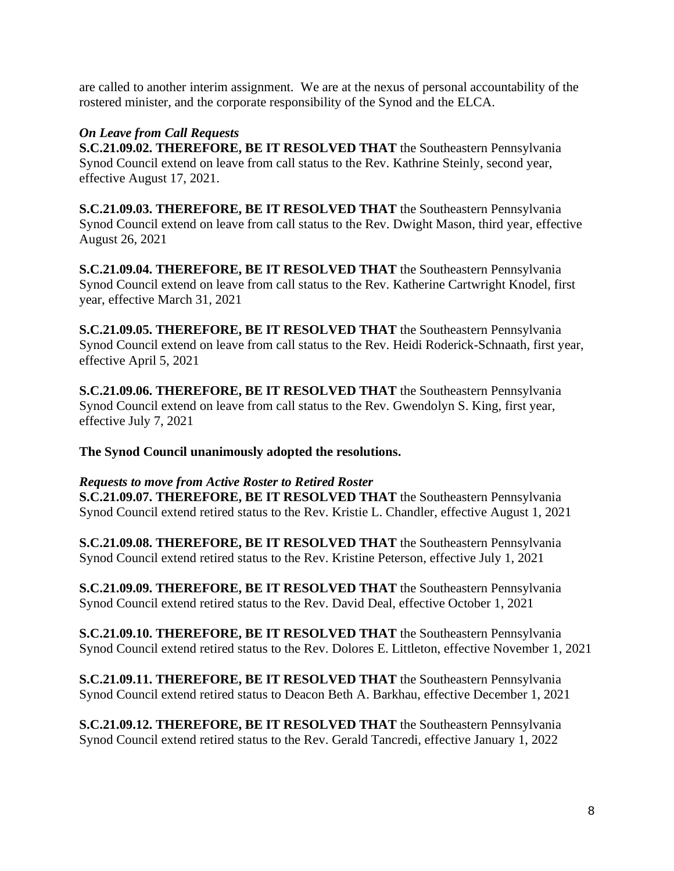are called to another interim assignment. We are at the nexus of personal accountability of the rostered minister, and the corporate responsibility of the Synod and the ELCA.

# *On Leave from Call Requests*

**S.C.21.09.02. THEREFORE, BE IT RESOLVED THAT** the Southeastern Pennsylvania Synod Council extend on leave from call status to the Rev. Kathrine Steinly, second year, effective August 17, 2021.

**S.C.21.09.03. THEREFORE, BE IT RESOLVED THAT** the Southeastern Pennsylvania Synod Council extend on leave from call status to the Rev. Dwight Mason, third year, effective August 26, 2021

**S.C.21.09.04. THEREFORE, BE IT RESOLVED THAT** the Southeastern Pennsylvania Synod Council extend on leave from call status to the Rev. Katherine Cartwright Knodel, first year, effective March 31, 2021

**S.C.21.09.05. THEREFORE, BE IT RESOLVED THAT** the Southeastern Pennsylvania Synod Council extend on leave from call status to the Rev. Heidi Roderick-Schnaath, first year, effective April 5, 2021

**S.C.21.09.06. THEREFORE, BE IT RESOLVED THAT** the Southeastern Pennsylvania Synod Council extend on leave from call status to the Rev. Gwendolyn S. King, first year, effective July 7, 2021

**The Synod Council unanimously adopted the resolutions.**

*Requests to move from Active Roster to Retired Roster* **S.C.21.09.07. THEREFORE, BE IT RESOLVED THAT** the Southeastern Pennsylvania Synod Council extend retired status to the Rev. Kristie L. Chandler, effective August 1, 2021

**S.C.21.09.08. THEREFORE, BE IT RESOLVED THAT** the Southeastern Pennsylvania Synod Council extend retired status to the Rev. Kristine Peterson, effective July 1, 2021

**S.C.21.09.09. THEREFORE, BE IT RESOLVED THAT** the Southeastern Pennsylvania Synod Council extend retired status to the Rev. David Deal, effective October 1, 2021

**S.C.21.09.10. THEREFORE, BE IT RESOLVED THAT** the Southeastern Pennsylvania Synod Council extend retired status to the Rev. Dolores E. Littleton, effective November 1, 2021

**S.C.21.09.11. THEREFORE, BE IT RESOLVED THAT** the Southeastern Pennsylvania Synod Council extend retired status to Deacon Beth A. Barkhau, effective December 1, 2021

**S.C.21.09.12. THEREFORE, BE IT RESOLVED THAT** the Southeastern Pennsylvania Synod Council extend retired status to the Rev. Gerald Tancredi, effective January 1, 2022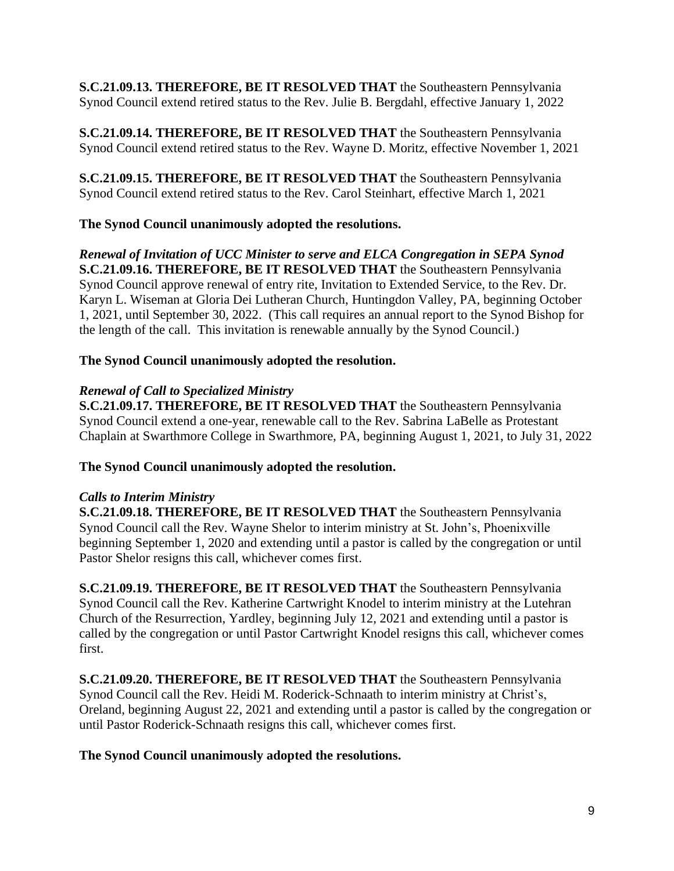**S.C.21.09.13. THEREFORE, BE IT RESOLVED THAT** the Southeastern Pennsylvania Synod Council extend retired status to the Rev. Julie B. Bergdahl, effective January 1, 2022

**S.C.21.09.14. THEREFORE, BE IT RESOLVED THAT** the Southeastern Pennsylvania Synod Council extend retired status to the Rev. Wayne D. Moritz, effective November 1, 2021

**S.C.21.09.15. THEREFORE, BE IT RESOLVED THAT** the Southeastern Pennsylvania Synod Council extend retired status to the Rev. Carol Steinhart, effective March 1, 2021

# **The Synod Council unanimously adopted the resolutions.**

*Renewal of Invitation of UCC Minister to serve and ELCA Congregation in SEPA Synod* **S.C.21.09.16. THEREFORE, BE IT RESOLVED THAT** the Southeastern Pennsylvania Synod Council approve renewal of entry rite, Invitation to Extended Service, to the Rev. Dr. Karyn L. Wiseman at Gloria Dei Lutheran Church, Huntingdon Valley, PA, beginning October 1, 2021, until September 30, 2022. (This call requires an annual report to the Synod Bishop for the length of the call. This invitation is renewable annually by the Synod Council.)

# **The Synod Council unanimously adopted the resolution.**

# *Renewal of Call to Specialized Ministry*

**S.C.21.09.17. THEREFORE, BE IT RESOLVED THAT** the Southeastern Pennsylvania Synod Council extend a one-year, renewable call to the Rev. Sabrina LaBelle as Protestant Chaplain at Swarthmore College in Swarthmore, PA, beginning August 1, 2021, to July 31, 2022

# **The Synod Council unanimously adopted the resolution.**

# *Calls to Interim Ministry*

**S.C.21.09.18. THEREFORE, BE IT RESOLVED THAT** the Southeastern Pennsylvania Synod Council call the Rev. Wayne Shelor to interim ministry at St. John's, Phoenixville beginning September 1, 2020 and extending until a pastor is called by the congregation or until Pastor Shelor resigns this call, whichever comes first.

**S.C.21.09.19. THEREFORE, BE IT RESOLVED THAT** the Southeastern Pennsylvania Synod Council call the Rev. Katherine Cartwright Knodel to interim ministry at the Lutehran Church of the Resurrection, Yardley, beginning July 12, 2021 and extending until a pastor is called by the congregation or until Pastor Cartwright Knodel resigns this call, whichever comes first.

**S.C.21.09.20. THEREFORE, BE IT RESOLVED THAT** the Southeastern Pennsylvania Synod Council call the Rev. Heidi M. Roderick-Schnaath to interim ministry at Christ's, Oreland, beginning August 22, 2021 and extending until a pastor is called by the congregation or until Pastor Roderick-Schnaath resigns this call, whichever comes first.

# **The Synod Council unanimously adopted the resolutions.**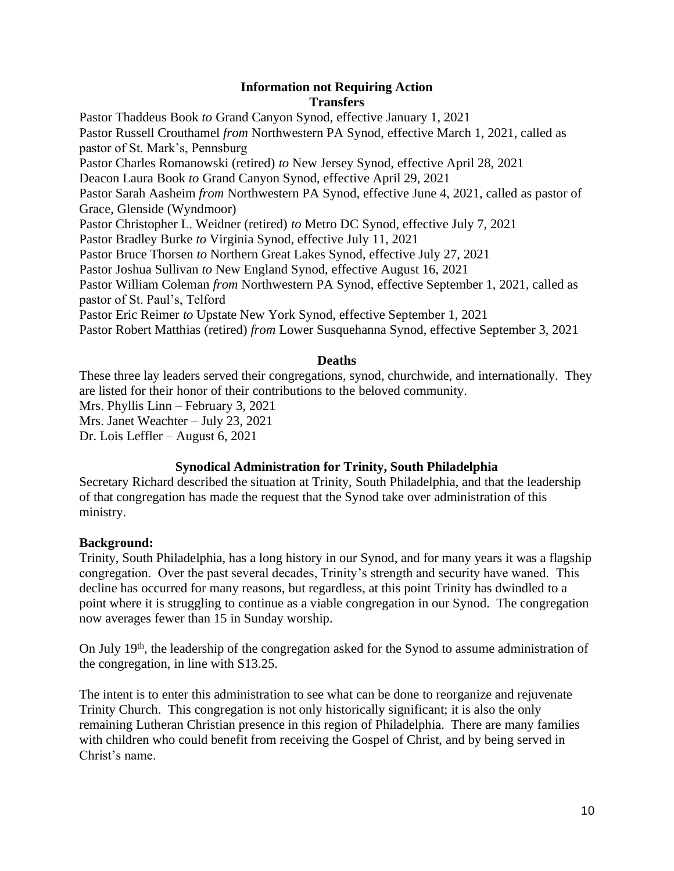### **Information not Requiring Action Transfers**

Pastor Thaddeus Book *to* Grand Canyon Synod, effective January 1, 2021 Pastor Russell Crouthamel *from* Northwestern PA Synod, effective March 1, 2021, called as pastor of St. Mark's, Pennsburg Pastor Charles Romanowski (retired) *to* New Jersey Synod, effective April 28, 2021 Deacon Laura Book *to* Grand Canyon Synod, effective April 29, 2021 Pastor Sarah Aasheim *from* Northwestern PA Synod, effective June 4, 2021, called as pastor of Grace, Glenside (Wyndmoor) Pastor Christopher L. Weidner (retired) *to* Metro DC Synod, effective July 7, 2021 Pastor Bradley Burke *to* Virginia Synod, effective July 11, 2021 Pastor Bruce Thorsen *to* Northern Great Lakes Synod, effective July 27, 2021 Pastor Joshua Sullivan *to* New England Synod, effective August 16, 2021 Pastor William Coleman *from* Northwestern PA Synod, effective September 1, 2021, called as pastor of St. Paul's, Telford Pastor Eric Reimer *to* Upstate New York Synod, effective September 1, 2021 Pastor Robert Matthias (retired) *from* Lower Susquehanna Synod, effective September 3, 2021

### **Deaths**

These three lay leaders served their congregations, synod, churchwide, and internationally. They are listed for their honor of their contributions to the beloved community. Mrs. Phyllis Linn – February 3, 2021 Mrs. Janet Weachter – July 23, 2021 Dr. Lois Leffler – August 6, 2021

## **Synodical Administration for Trinity, South Philadelphia**

Secretary Richard described the situation at Trinity, South Philadelphia, and that the leadership of that congregation has made the request that the Synod take over administration of this ministry.

## **Background:**

Trinity, South Philadelphia, has a long history in our Synod, and for many years it was a flagship congregation. Over the past several decades, Trinity's strength and security have waned. This decline has occurred for many reasons, but regardless, at this point Trinity has dwindled to a point where it is struggling to continue as a viable congregation in our Synod. The congregation now averages fewer than 15 in Sunday worship.

On July 19th, the leadership of the congregation asked for the Synod to assume administration of the congregation, in line with S13.25.

The intent is to enter this administration to see what can be done to reorganize and rejuvenate Trinity Church. This congregation is not only historically significant; it is also the only remaining Lutheran Christian presence in this region of Philadelphia. There are many families with children who could benefit from receiving the Gospel of Christ, and by being served in Christ's name.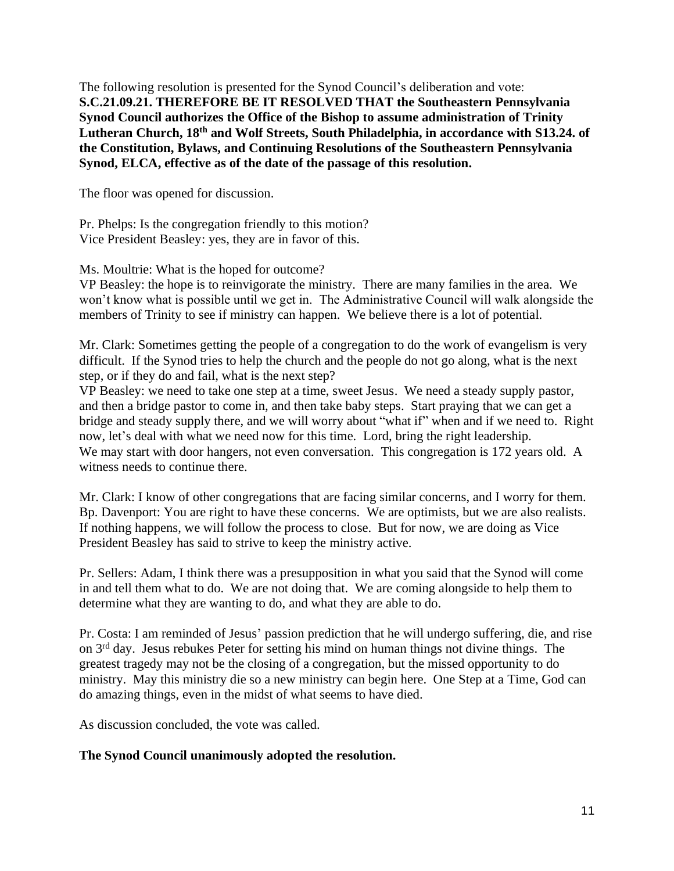The following resolution is presented for the Synod Council's deliberation and vote: **S.C.21.09.21. THEREFORE BE IT RESOLVED THAT the Southeastern Pennsylvania Synod Council authorizes the Office of the Bishop to assume administration of Trinity Lutheran Church, 18th and Wolf Streets, South Philadelphia, in accordance with S13.24. of the Constitution, Bylaws, and Continuing Resolutions of the Southeastern Pennsylvania Synod, ELCA, effective as of the date of the passage of this resolution.** 

The floor was opened for discussion.

Pr. Phelps: Is the congregation friendly to this motion? Vice President Beasley: yes, they are in favor of this.

Ms. Moultrie: What is the hoped for outcome?

VP Beasley: the hope is to reinvigorate the ministry. There are many families in the area. We won't know what is possible until we get in. The Administrative Council will walk alongside the members of Trinity to see if ministry can happen. We believe there is a lot of potential.

Mr. Clark: Sometimes getting the people of a congregation to do the work of evangelism is very difficult. If the Synod tries to help the church and the people do not go along, what is the next step, or if they do and fail, what is the next step?

VP Beasley: we need to take one step at a time, sweet Jesus. We need a steady supply pastor, and then a bridge pastor to come in, and then take baby steps. Start praying that we can get a bridge and steady supply there, and we will worry about "what if" when and if we need to. Right now, let's deal with what we need now for this time. Lord, bring the right leadership. We may start with door hangers, not even conversation. This congregation is 172 years old. A witness needs to continue there.

Mr. Clark: I know of other congregations that are facing similar concerns, and I worry for them. Bp. Davenport: You are right to have these concerns. We are optimists, but we are also realists. If nothing happens, we will follow the process to close. But for now, we are doing as Vice President Beasley has said to strive to keep the ministry active.

Pr. Sellers: Adam, I think there was a presupposition in what you said that the Synod will come in and tell them what to do. We are not doing that. We are coming alongside to help them to determine what they are wanting to do, and what they are able to do.

Pr. Costa: I am reminded of Jesus' passion prediction that he will undergo suffering, die, and rise on 3rd day. Jesus rebukes Peter for setting his mind on human things not divine things. The greatest tragedy may not be the closing of a congregation, but the missed opportunity to do ministry. May this ministry die so a new ministry can begin here. One Step at a Time, God can do amazing things, even in the midst of what seems to have died.

As discussion concluded, the vote was called.

## **The Synod Council unanimously adopted the resolution.**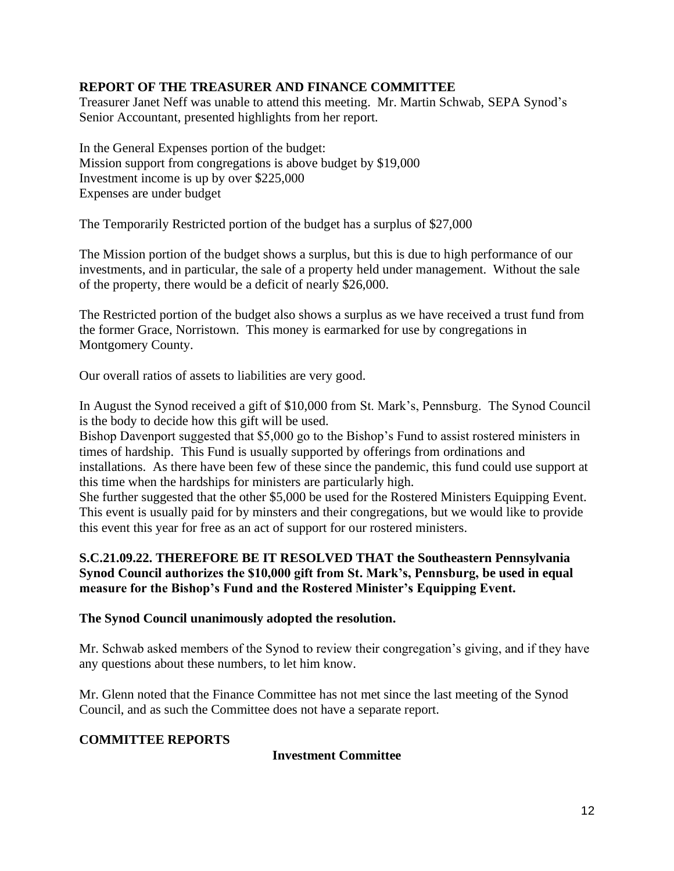# **REPORT OF THE TREASURER AND FINANCE COMMITTEE**

Treasurer Janet Neff was unable to attend this meeting. Mr. Martin Schwab, SEPA Synod's Senior Accountant, presented highlights from her report.

In the General Expenses portion of the budget: Mission support from congregations is above budget by \$19,000 Investment income is up by over \$225,000 Expenses are under budget

The Temporarily Restricted portion of the budget has a surplus of \$27,000

The Mission portion of the budget shows a surplus, but this is due to high performance of our investments, and in particular, the sale of a property held under management. Without the sale of the property, there would be a deficit of nearly \$26,000.

The Restricted portion of the budget also shows a surplus as we have received a trust fund from the former Grace, Norristown. This money is earmarked for use by congregations in Montgomery County.

Our overall ratios of assets to liabilities are very good.

In August the Synod received a gift of \$10,000 from St. Mark's, Pennsburg. The Synod Council is the body to decide how this gift will be used.

Bishop Davenport suggested that \$5,000 go to the Bishop's Fund to assist rostered ministers in times of hardship. This Fund is usually supported by offerings from ordinations and installations. As there have been few of these since the pandemic, this fund could use support at this time when the hardships for ministers are particularly high.

She further suggested that the other \$5,000 be used for the Rostered Ministers Equipping Event. This event is usually paid for by minsters and their congregations, but we would like to provide this event this year for free as an act of support for our rostered ministers.

## **S.C.21.09.22. THEREFORE BE IT RESOLVED THAT the Southeastern Pennsylvania Synod Council authorizes the \$10,000 gift from St. Mark's, Pennsburg, be used in equal measure for the Bishop's Fund and the Rostered Minister's Equipping Event.**

## **The Synod Council unanimously adopted the resolution.**

Mr. Schwab asked members of the Synod to review their congregation's giving, and if they have any questions about these numbers, to let him know.

Mr. Glenn noted that the Finance Committee has not met since the last meeting of the Synod Council, and as such the Committee does not have a separate report.

# **COMMITTEE REPORTS**

# **Investment Committee**